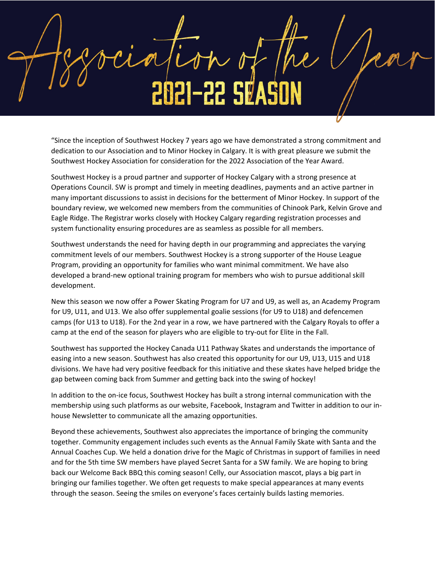2021-22 SØ

"Since the inception of Southwest Hockey 7 years ago we have demonstrated a strong commitment and dedication to our Association and to Minor Hockey in Calgary. It is with great pleasure we submit the Southwest Hockey Association for consideration for the 2022 Association of the Year Award.

Southwest Hockey is a proud partner and supporter of Hockey Calgary with a strong presence at Operations Council. SW is prompt and timely in meeting deadlines, payments and an active partner in many important discussions to assist in decisions for the betterment of Minor Hockey. In support of the boundary review, we welcomed new members from the communities of Chinook Park, Kelvin Grove and Eagle Ridge. The Registrar works closely with Hockey Calgary regarding registration processes and system functionality ensuring procedures are as seamless as possible for all members.

Southwest understands the need for having depth in our programming and appreciates the varying commitment levels of our members. Southwest Hockey is a strong supporter of the House League Program, providing an opportunity for families who want minimal commitment. We have also developed a brand-new optional training program for members who wish to pursue additional skill development.

New this season we now offer a Power Skating Program for U7 and U9, as well as, an Academy Program for U9, U11, and U13. We also offer supplemental goalie sessions (for U9 to U18) and defencemen camps (for U13 to U18). For the 2nd year in a row, we have partnered with the Calgary Royals to offer a camp at the end of the season for players who are eligible to try-out for Elite in the Fall.

Southwest has supported the Hockey Canada U11 Pathway Skates and understands the importance of easing into a new season. Southwest has also created this opportunity for our U9, U13, U15 and U18 divisions. We have had very positive feedback for this initiative and these skates have helped bridge the gap between coming back from Summer and getting back into the swing of hockey!

In addition to the on-ice focus, Southwest Hockey has built a strong internal communication with the membership using such platforms as our website, Facebook, Instagram and Twitter in addition to our inhouse Newsletter to communicate all the amazing opportunities.

Beyond these achievements, Southwest also appreciates the importance of bringing the community together. Community engagement includes such events as the Annual Family Skate with Santa and the Annual Coaches Cup. We held a donation drive for the Magic of Christmas in support of families in need and for the 5th time SW members have played Secret Santa for a SW family. We are hoping to bring back our Welcome Back BBQ this coming season! Celly, our Association mascot, plays a big part in bringing our families together. We often get requests to make special appearances at many events through the season. Seeing the smiles on everyone's faces certainly builds lasting memories.